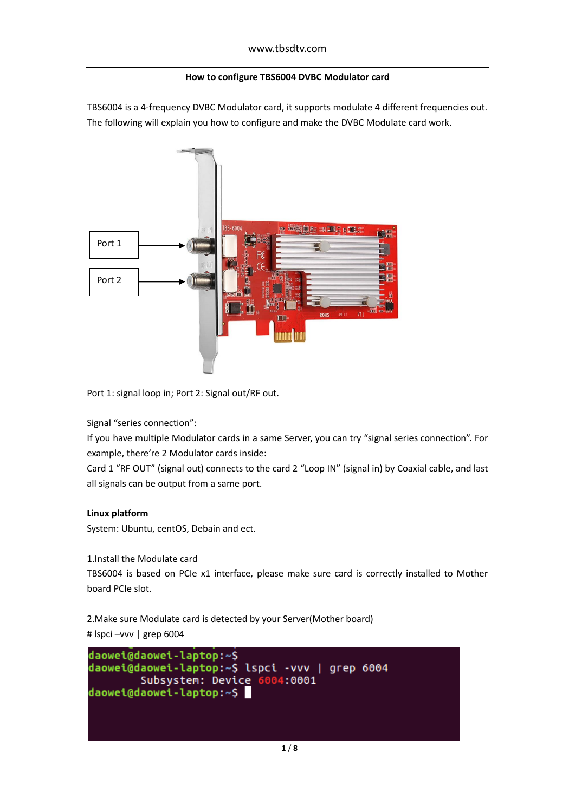## **How to configure TBS6004 DVBC Modulator card**

TBS6004 is a 4-frequency DVBC Modulator card, it supports modulate 4 different frequencies out. The following will explain you how to configure and make the DVBC Modulate card work.



Port 1: signal loop in; Port 2: Signal out/RF out.

Signal "series connection":

If you have multiple Modulator cards in a same Server, you can try "signal series connection". For example, there're 2 Modulator cards inside:

Card 1 "RF OUT" (signal out) connects to the card 2 "Loop IN" (signal in) by Coaxial cable, and last all signals can be output from a same port.

## **Linux platform**

System: Ubuntu, centOS, Debain and ect.

1.Install the Modulate card

TBS6004 is based on PCIe x1 interface, please make sure card is correctly installed to Mother board PCIe slot.

2.Make sure Modulate card is detected by your Server(Mother board) # lspci –vvv | grep 6004

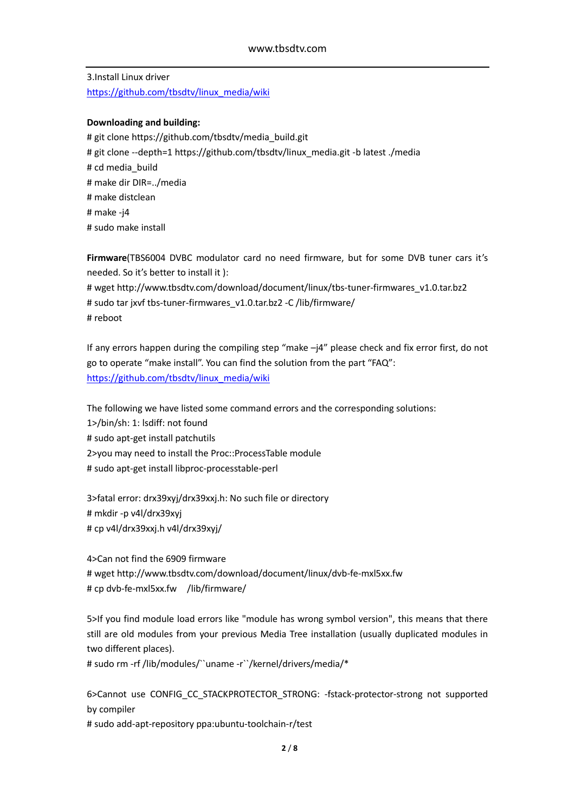3.Install Linux driver [https://github.com/tbsdtv/linux\\_media/wiki](https://github.com/tbsdtv/linux_media/wiki)

### **Downloading and building:**

# git clone https://github.com/tbsdtv/media\_build.git # git clone --depth=1 https://github.com/tbsdtv/linux\_media.git -b latest ./media # cd media build # make dir DIR=../media # make distclean # make -j4 # sudo make install

**Firmware**(TBS6004 DVBC modulator card no need firmware, but for some DVB tuner cars it's needed. So it's better to install it ):

# wget http://www.tbsdtv.com/download/document/linux/tbs-tuner-firmwares\_v1.0.tar.bz2 # sudo tar jxvf tbs-tuner-firmwares\_v1.0.tar.bz2 -C /lib/firmware/ # reboot

If any errors happen during the compiling step "make –j4" please check and fix error first, do not go to operate "make install". You can find the solution from the part "FAQ": [https://github.com/tbsdtv/linux\\_media/wiki](https://github.com/tbsdtv/linux_media/wiki)

The following we have listed some command errors and the corresponding solutions: 1>/bin/sh: 1: lsdiff: not found # sudo apt-get install patchutils 2>you may need to install the Proc::ProcessTable module # sudo apt-get install libproc-processtable-perl

3>fatal error: drx39xyj/drx39xxj.h: No such file or directory # mkdir -p v4l/drx39xyj # cp v4l/drx39xxj.h v4l/drx39xyj/

4>Can not find the 6909 firmware # wget http://www.tbsdtv.com/download/document/linux/dvb-fe-mxl5xx.fw # cp dvb-fe-mxl5xx.fw /lib/firmware/

5>If you find module load errors like "module has wrong symbol version", this means that there still are old modules from your previous Media Tree installation (usually duplicated modules in two different places).

# sudo rm -rf /lib/modules/``uname -r``/kernel/drivers/media/\*

6>Cannot use CONFIG\_CC\_STACKPROTECTOR\_STRONG: -fstack-protector-strong not supported by compiler

# sudo add-apt-repository ppa:ubuntu-toolchain-r/test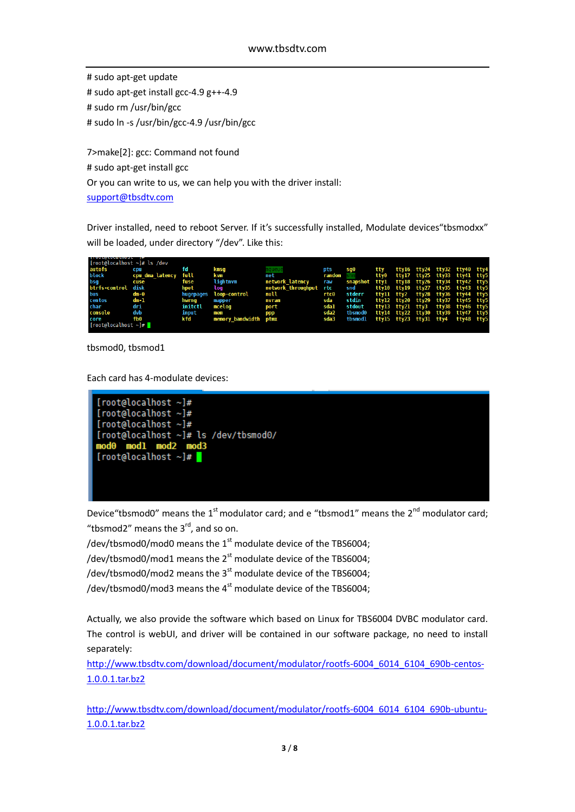# sudo apt-get update # sudo apt-get install gcc-4.9 g++-4.9 # sudo rm /usr/bin/gcc # sudo ln -s /usr/bin/gcc-4.9 /usr/bin/gcc

7>make[2]: gcc: Command not found # sudo apt-get install gcc Or you can write to us, we can help you with the driver install: [support@tbsdtv.com](mailto:support@tbsdtv.com)

Driver installed, need to reboot Server. If it's successfully installed, Modulate devices"tbsmodxx" will be loaded, under directory "/dev". Like this:

| [root@localhost $\sim$ ]# ls /dev |                      |           |                       |                        |               |                                                |                                    |  |  |  |
|-----------------------------------|----------------------|-----------|-----------------------|------------------------|---------------|------------------------------------------------|------------------------------------|--|--|--|
| autofs                            | cpu                  | fd        | kmsq                  |                        | pts           | sqθ                                            | tty ttyl6 tty24 tty32 tty40 tty4   |  |  |  |
| block                             | cpu dma latency full |           | kvm                   | net                    | <b>random</b> |                                                | tty0 tty17 tty25 tty33 tty41 tty5  |  |  |  |
| bsg                               | cuse                 | fuse      | lightnym              | network latency        | raw           | snapshot ttyl ttyl8 tty26 tty34 tty42 tty5     |                                    |  |  |  |
| btrfs-control disk                |                      | hpet      | loq                   | network throughput rtc |               | snd                                            | ttyl0 ttyl9 tty27 tty35 tty43 tty5 |  |  |  |
| bus                               | dm-θ                 | hugepages | <b>loop-control</b>   | null                   | rtcθ          | stderr                                         | ttyll tty2 tty28 tty36 tty44 tty5  |  |  |  |
| centos                            | dm-1                 | hwrng     | mapper                | nvram                  | sda           | stdin ttyl2 tty20 tty29 tty37 tty45 tty5       |                                    |  |  |  |
| char                              | dri                  | initctl   | mcelog                | port                   | sdal          | stdout                                         | ttyl3 tty2l tty3 tty38 tty46 tty5  |  |  |  |
| console                           | dvb                  | input     | mem                   | ppp                    | sda2          | tbsmodθ                                        | ttyl4 tty22 tty30 tty39 tty47 tty5 |  |  |  |
| core                              | fbθ                  | k f d     | memory bandwidth ptmx |                        |               | sda3 tbsmodl tty15 tty23 tty31 tty4 tty48 tty5 |                                    |  |  |  |
| [rootalocalhost ~]                |                      |           |                       |                        |               |                                                |                                    |  |  |  |
|                                   |                      |           |                       |                        |               |                                                |                                    |  |  |  |

tbsmod0, tbsmod1

Each card has 4-modulate devices:



Device "tbsmod0" means the  $1<sup>st</sup>$  modulator card; and e "tbsmod1" means the  $2<sup>nd</sup>$  modulator card: "tbsmod2" means the  $3<sup>rd</sup>$ , and so on.

/dev/tbsmod0/mod0 means the  $1<sup>st</sup>$  modulate device of the TBS6004;

/dev/tbsmod0/mod1 means the  $2<sup>st</sup>$  modulate device of the TBS6004;

/dev/tbsmod0/mod2 means the  $3<sup>st</sup>$  modulate device of the TBS6004;

/dev/tbsmod0/mod3 means the  $4^{st}$  modulate device of the TBS6004;

Actually, we also provide the software which based on Linux for TBS6004 DVBC modulator card. The control is webUI, and driver will be contained in our software package, no need to install separately:

[http://www.tbsdtv.com/download/document/modulator/rootfs-6004\\_6014\\_6104\\_690b-centos-](http://www.tbsdtv.com/download/document/modulator/rootfs-6004_6014_6104_690b-centos-1.0.0.1.tar.bz2)[1.0.0.1.tar.bz2](http://www.tbsdtv.com/download/document/modulator/rootfs-6004_6014_6104_690b-centos-1.0.0.1.tar.bz2)

[http://www.tbsdtv.com/download/document/modulator/rootfs-6004\\_6014\\_6104\\_690b-ubuntu-](http://www.tbsdtv.com/download/document/modulator/rootfs-6004_6014_6104_690b-ubuntu-1.0.0.1.tar.bz2)[1.0.0.1.tar.bz2](http://www.tbsdtv.com/download/document/modulator/rootfs-6004_6014_6104_690b-ubuntu-1.0.0.1.tar.bz2)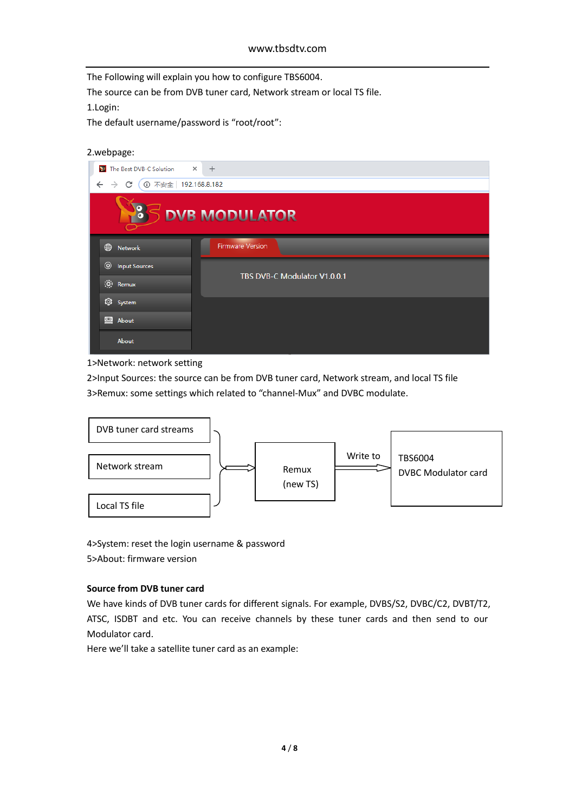The Following will explain you how to configure TBS6004.

The source can be from DVB tuner card, Network stream or local TS file.

1.Login:

The default username/password is "root/root":

2.webpage:

| The Best DVB-C Solution $\times$ +<br>短             |                              |
|-----------------------------------------------------|------------------------------|
| 192.168.8.182<br>$\leftarrow$<br>C<br>$\rightarrow$ |                              |
| 100                                                 | <b>DVB MODULATOR</b>         |
| ⊕<br>Network                                        | <b>Firmware Version</b>      |
| <sup>O</sup> Input Sources                          | TBS DVB-C Modulator V1.0.0.1 |
| $\ddot{Q}$ : Remux                                  |                              |
| <b>Q</b> System                                     |                              |
| About                                               |                              |
| <b>About</b>                                        |                              |

1>Network: network setting

2>Input Sources: the source can be from DVB tuner card, Network stream, and local TS file 3>Remux: some settings which related to "channel-Mux" and DVBC modulate.



4>System: reset the login username & password 5>About: firmware version

# **Source from DVB tuner card**

We have kinds of DVB tuner cards for different signals. For example, DVBS/S2, DVBC/C2, DVBT/T2, ATSC, ISDBT and etc. You can receive channels by these tuner cards and then send to our Modulator card.

Here we'll take a satellite tuner card as an example: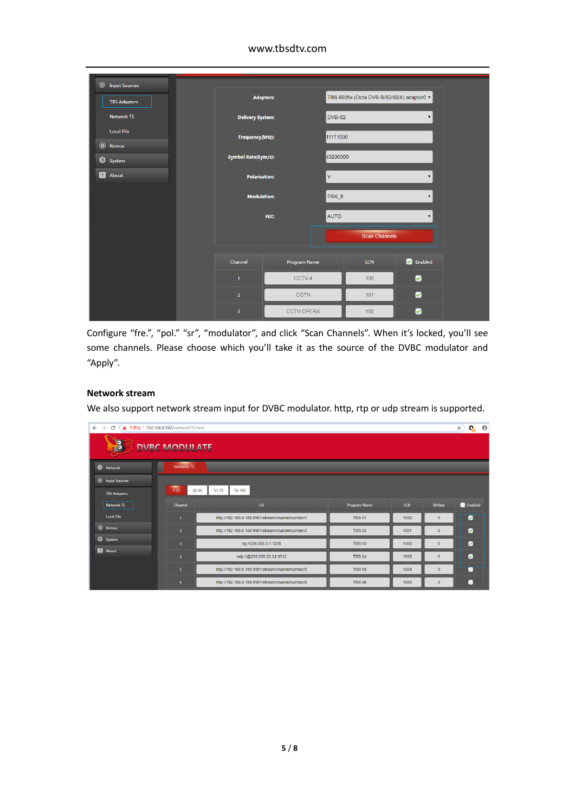# www.tbsdtv.com

| <sup>©</sup> Input Sources<br><b>TBS Adapters</b> | <b>Adapters:</b>           |                   |              | TBS 6909x (Octa DVB-S/S2/S2X) adapter0 ▼ |                    |
|---------------------------------------------------|----------------------------|-------------------|--------------|------------------------------------------|--------------------|
| <b>Network TS</b>                                 | <b>Delivery System:</b>    |                   | DVB-S2       |                                          | $\pmb{\mathrm{v}}$ |
| <b>Local File</b>                                 | Frequency(kHz):            |                   | 11171000     |                                          |                    |
| (0) Remux<br>System                               | <b>Symbol Rate(Sym/s):</b> |                   | 43200000     |                                          |                    |
| <b>S</b> About                                    | <b>Polarisation:</b>       |                   | $\mathsf{V}$ |                                          | $\pmb{\mathrm{v}}$ |
|                                                   | <b>Modulation:</b>         |                   | PSK_8        |                                          | $\mathbf{v}$       |
|                                                   |                            | FEC:              | <b>AUTO</b>  |                                          | $\pmb{\mathbf{v}}$ |
|                                                   |                            |                   |              | <b>Scan Channels</b>                     |                    |
|                                                   | Channel                    | Program Name      |              | LCN                                      | <b>C</b> Enabled   |
|                                                   | $\mathbf{1}$               | CCTV-4            |              | 100                                      | ☑                  |
|                                                   | $\overline{2}$             | <b>CGTN</b>       |              | 101                                      | ◙                  |
|                                                   | 3                          | <b>CCTV-OPERA</b> |              | 102                                      | Ø                  |

Configure "fre.", "pol." "sr", "modulator", and click "Scan Channels". When it's locked, you'll see some channels. Please choose which you'll take it as the source of the DVBC modulator and "Apply".

## **Network stream**

We also support network stream input for DVBC modulator. http, rtp or udp stream is supported.

| $Q_1$ $\theta$<br>$\leftarrow$ $\rightarrow$<br>C<br>▲ 不安全   192.168.8.182/networkTS.html<br>☆ |                         |                                                  |               |              |                |                  |  |  |
|------------------------------------------------------------------------------------------------|-------------------------|--------------------------------------------------|---------------|--------------|----------------|------------------|--|--|
| $\overline{\mathbf{e}}$<br><b>DVBC MODULATE</b>                                                |                         |                                                  |               |              |                |                  |  |  |
| <b>B</b> Network                                                                               | Network TS              |                                                  |               |              |                |                  |  |  |
| <sup>O</sup> Input Sources                                                                     |                         |                                                  |               |              |                |                  |  |  |
| <b>TBS Adapters</b>                                                                            | $1 - 25$<br>$26 - 50$   | $51 - 75$<br>76-100                              |               |              |                |                  |  |  |
| Network TS                                                                                     | Channel                 | Ud                                               | Program Name  | <b>LCN</b>   | <b>BitRate</b> | <b>C</b> Enabled |  |  |
| <b>Local File</b>                                                                              | $\blacksquare$          | http://192.168.8.188:9981/stream/channelnumber/1 | <b>TBS 01</b> | 1000         | $\mathbf{0}$   | ø                |  |  |
| (O) Remux                                                                                      | $\overline{2}$          | http://192.168.8.188:9981/stream/channelnumber/2 | <b>TBS 02</b> | 1001         | $\mathbf{0}$   | ø                |  |  |
| <b>Q</b> System                                                                                | $\overline{\mathbf{3}}$ | rtp://239.255.0.1:1238                           | <b>TBS 03</b> | 1002         | $\mathbf{0}$   | $\bullet$        |  |  |
| About                                                                                          | $\overline{4}$          | udp://@239.255.23.24:3012                        | 1003          | $\mathbf{0}$ | ø              |                  |  |  |
|                                                                                                | $\overline{5}$          | http://192.168.8.188:9981/stream/channelnumber/5 | <b>TBS 05</b> | 1004         | $\mathbf{0}$   |                  |  |  |
|                                                                                                | 6                       | http://192.168.8.188:9981/stream/channelnumber/6 | <b>TBS 06</b> | 1005         | $\mathbf{0}$   |                  |  |  |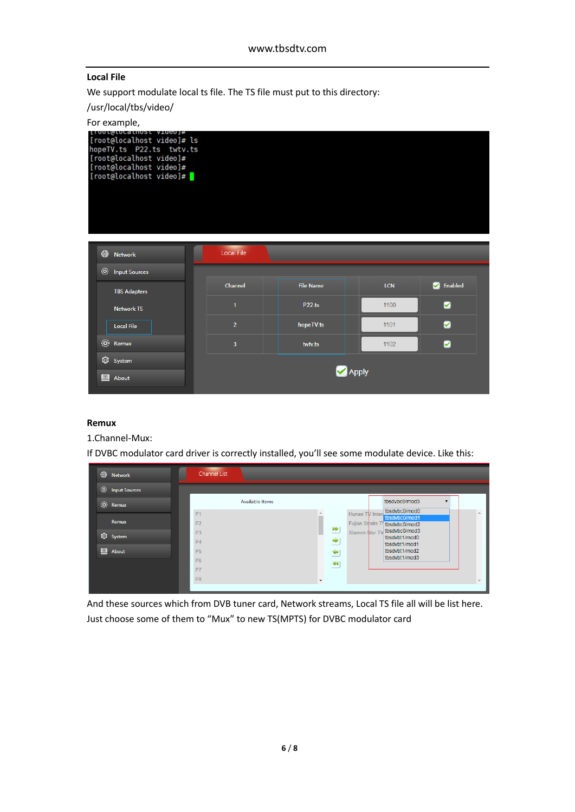# **Local File**

We support modulate local ts file. The TS file must put to this directory:

/usr/local/tbs/video/

# For example,

| finni@rnrarun2r Atmenl#<br>[root@localhost video]# ls<br>hopeTV.ts P22.ts twtv.ts<br>[root@localhost video]#<br>[root@localhost video]#<br>[root@localhost video]# |                   |                  |            |               |
|--------------------------------------------------------------------------------------------------------------------------------------------------------------------|-------------------|------------------|------------|---------------|
| ⊕<br><b>Network</b>                                                                                                                                                | <b>Local File</b> |                  |            |               |
| $\circledcirc$<br><b>Input Sources</b>                                                                                                                             |                   |                  |            |               |
| <b>TBS Adapters</b>                                                                                                                                                | Channel           | <b>File Name</b> | <b>LCN</b> | Enabled<br>Ø. |
| <b>Network TS</b>                                                                                                                                                  | $\mathbf{1}$      | <b>P22.ts</b>    | 1100       | ☑             |
| <b>Local File</b>                                                                                                                                                  | $\overline{2}$    | hopeTV.ts        | 1101       | Ø             |
| (0) Remux                                                                                                                                                          | $\overline{3}$    | twtv.ts          | 1102       | ☑             |
| <b>Q</b> System                                                                                                                                                    |                   |                  |            |               |
| $\circledcirc$<br>About                                                                                                                                            |                   |                  | Apply      |               |

### **Remux**

1.Channel-Mux:

If DVBC modulator card driver is correctly installed, you'll see some modulate device. Like this:

| ⊕<br>Network                           | <b>Channel List</b>               |                          |                                                       |                                                 |          |
|----------------------------------------|-----------------------------------|--------------------------|-------------------------------------------------------|-------------------------------------------------|----------|
| $\circledcirc$<br><b>Input Sources</b> |                                   |                          |                                                       |                                                 |          |
| (0) Remux                              | Available Items<br>P <sub>1</sub> |                          |                                                       | tbsdvbc0/mod3<br>tbsdvbc0/mod0                  | $\Delta$ |
| Remux                                  | P <sub>2</sub>                    |                          | Hunan TV Inter<br>Fujian Straits T tbsdvbc0/mod2<br>₩ | tbsdvbc0/mod1                                   |          |
| <b>Q</b> System                        | P <sub>3</sub><br>P <sub>4</sub>  |                          | Xiamen \$tar TV<br>∸<br>₹                             | tbsdvbc0/mod3<br>tbsdvbt1/mod0<br>tbsdvbt1/mod1 |          |
| <b>Q</b> About                         | <b>P5</b><br><b>P6</b>            |                          | $\triangleq$                                          | tbsdvbt1/mod2<br>tbsdvbt1/mod3                  |          |
|                                        | P7                                |                          | $\blacktriangleleft$                                  |                                                 |          |
|                                        | P <sub>8</sub>                    | $\overline{\phantom{a}}$ |                                                       |                                                 | $\sim$   |

And these sources which from DVB tuner card, Network streams, Local TS file all will be list here. Just choose some of them to "Mux" to new TS(MPTS) for DVBC modulator card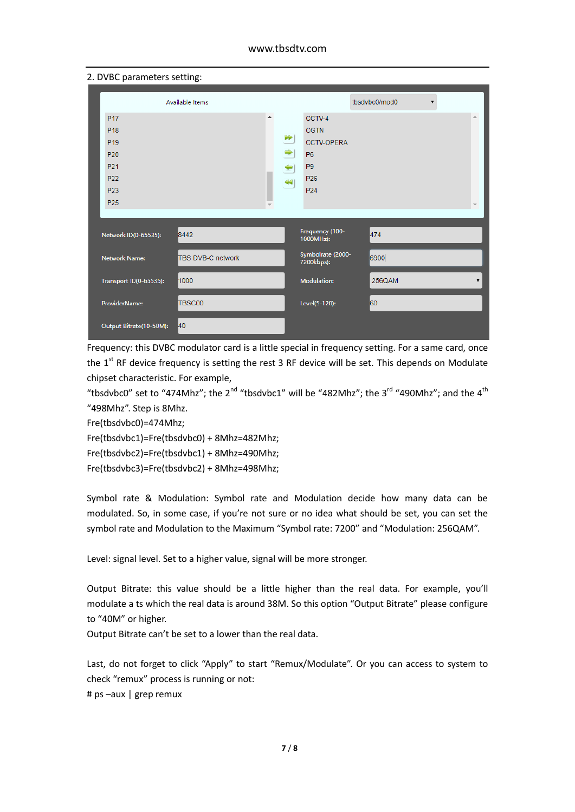### www.tbsdtv.com

| 2. DVBC parameters setting:                                                                                                              |                          |          |                                                                            |                                                                                                                 |               |  |    |
|------------------------------------------------------------------------------------------------------------------------------------------|--------------------------|----------|----------------------------------------------------------------------------|-----------------------------------------------------------------------------------------------------------------|---------------|--|----|
|                                                                                                                                          | Available Items          |          |                                                                            |                                                                                                                 | tbsdvbc0/mod0 |  |    |
| P <sub>17</sub><br>P <sub>18</sub><br>P <sub>19</sub><br>P20<br>P <sub>21</sub><br>P <sub>22</sub><br>P <sub>23</sub><br>P <sub>25</sub> |                          | $\Delta$ | $\blacktriangleright\blacktriangleright$<br>⇒<br>⇔<br>$\blacktriangleleft$ | CCTV-4<br><b>CGTN</b><br><b>CCTV-OPERA</b><br><b>P6</b><br>P <sub>9</sub><br>P <sub>26</sub><br>P <sub>24</sub> |               |  | A. |
| Network ID(0-65535):                                                                                                                     | 8442                     |          |                                                                            | Frequency (100-<br>1000MHz):                                                                                    | 474           |  |    |
| <b>Network Name:</b>                                                                                                                     | <b>TBS DVB-C network</b> |          |                                                                            | Symbolrate (2000-<br>7200kbps):                                                                                 | 6900          |  |    |
| Transport ID(0-65535):                                                                                                                   | 1000                     |          |                                                                            | <b>Modulation:</b>                                                                                              | 256QAM        |  | ▼  |
| ProviderName:                                                                                                                            | TBSC00                   |          |                                                                            | Level(5-120):                                                                                                   | 60            |  |    |
| Output Bitrate(10-50M):                                                                                                                  | 40                       |          |                                                                            |                                                                                                                 |               |  |    |

Frequency: this DVBC modulator card is a little special in frequency setting. For a same card, once the 1<sup>st</sup> RF device frequency is setting the rest 3 RF device will be set. This depends on Modulate chipset characteristic. For example,

"tbsdvbc0" set to "474Mhz"; the 2<sup>nd</sup> "tbsdvbc1" will be "482Mhz"; the 3<sup>rd</sup> "490Mhz"; and the 4<sup>th</sup> "498Mhz". Step is 8Mhz.

Fre(tbsdvbc0)=474Mhz;

Fre(tbsdvbc1)=Fre(tbsdvbc0) + 8Mhz=482Mhz;

Fre(tbsdvbc2)=Fre(tbsdvbc1) + 8Mhz=490Mhz;

Fre(tbsdvbc3)=Fre(tbsdvbc2) + 8Mhz=498Mhz;

Symbol rate & Modulation: Symbol rate and Modulation decide how many data can be modulated. So, in some case, if you're not sure or no idea what should be set, you can set the symbol rate and Modulation to the Maximum "Symbol rate: 7200" and "Modulation: 256QAM".

Level: signal level. Set to a higher value, signal will be more stronger.

Output Bitrate: this value should be a little higher than the real data. For example, you'll modulate a ts which the real data is around 38M. So this option "Output Bitrate" please configure to "40M" or higher.

Output Bitrate can't be set to a lower than the real data.

Last, do not forget to click "Apply" to start "Remux/Modulate". Or you can access to system to check "remux" process is running or not:

# ps –aux | grep remux